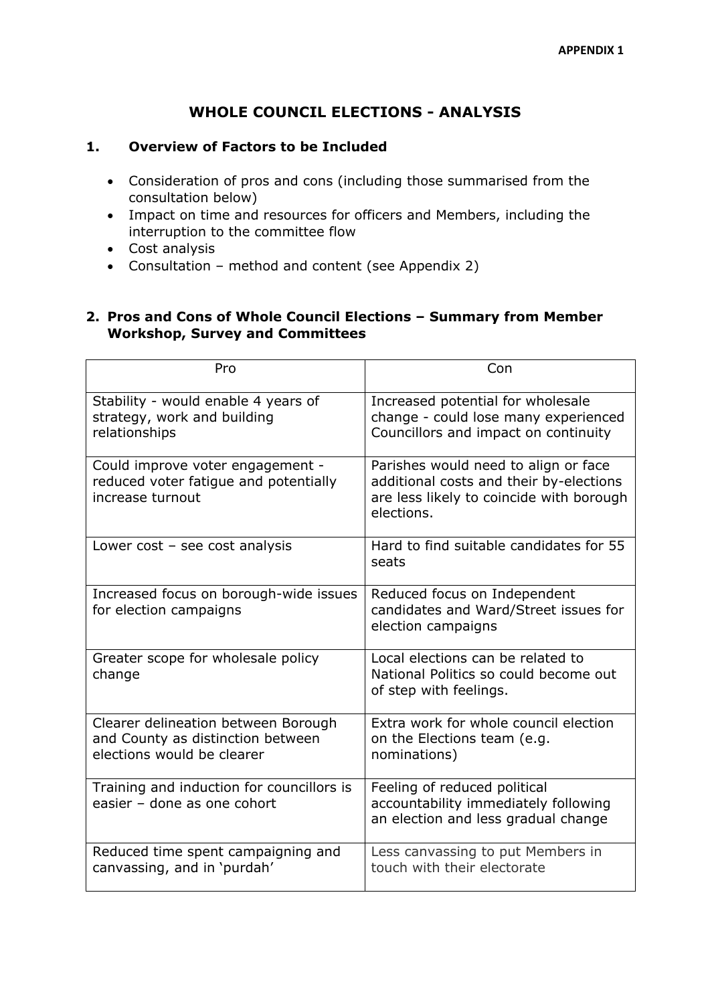# **WHOLE COUNCIL ELECTIONS - ANALYSIS**

## **1. Overview of Factors to be Included**

- Consideration of pros and cons (including those summarised from the consultation below)
- Impact on time and resources for officers and Members, including the interruption to the committee flow
- Cost analysis
- Consultation method and content (see Appendix 2)

## **2. Pros and Cons of Whole Council Elections – Summary from Member Workshop, Survey and Committees**

| Pro                                                                                                    | Con                                                                                                                                       |
|--------------------------------------------------------------------------------------------------------|-------------------------------------------------------------------------------------------------------------------------------------------|
| Stability - would enable 4 years of<br>strategy, work and building<br>relationships                    | Increased potential for wholesale<br>change - could lose many experienced<br>Councillors and impact on continuity                         |
| Could improve voter engagement -<br>reduced voter fatigue and potentially<br>increase turnout          | Parishes would need to align or face<br>additional costs and their by-elections<br>are less likely to coincide with borough<br>elections. |
| Lower $cost - see cost analysis$                                                                       | Hard to find suitable candidates for 55<br>seats                                                                                          |
| Increased focus on borough-wide issues<br>for election campaigns                                       | Reduced focus on Independent<br>candidates and Ward/Street issues for<br>election campaigns                                               |
| Greater scope for wholesale policy<br>change                                                           | Local elections can be related to<br>National Politics so could become out<br>of step with feelings.                                      |
| Clearer delineation between Borough<br>and County as distinction between<br>elections would be clearer | Extra work for whole council election<br>on the Elections team (e.g.<br>nominations)                                                      |
| Training and induction for councillors is<br>easier - done as one cohort                               | Feeling of reduced political<br>accountability immediately following<br>an election and less gradual change                               |
| Reduced time spent campaigning and<br>canvassing, and in 'purdah'                                      | Less canvassing to put Members in<br>touch with their electorate                                                                          |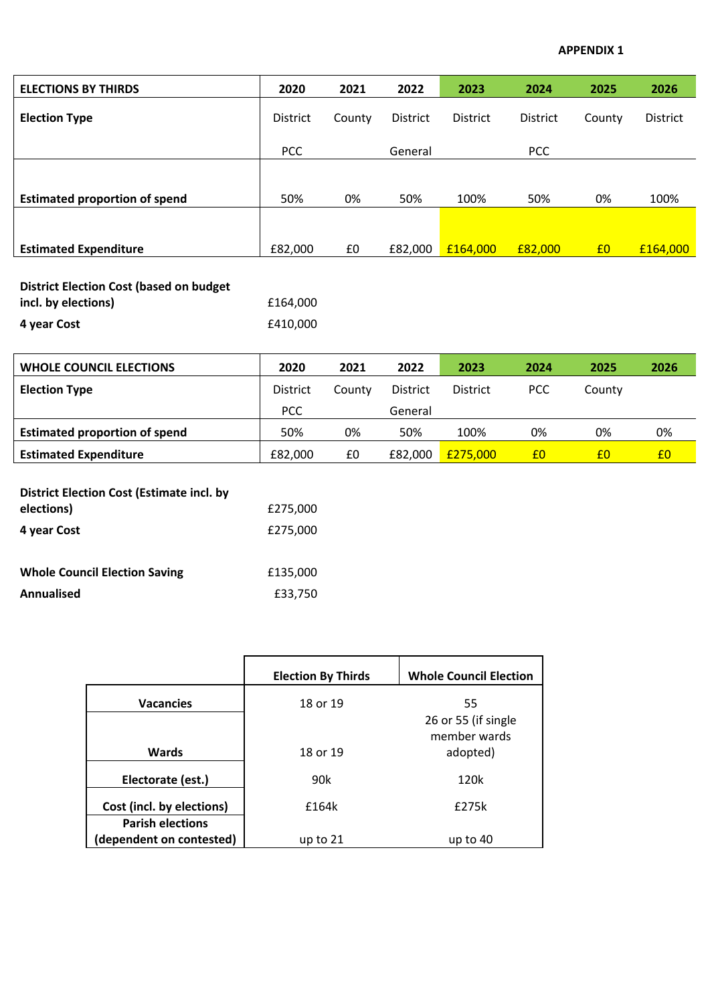#### **APPENDIX 1**

| <b>ELECTIONS BY THIRDS</b>           | 2020            | 2021   | 2022            | 2023            | 2024            | 2025           | 2026            |
|--------------------------------------|-----------------|--------|-----------------|-----------------|-----------------|----------------|-----------------|
| <b>Election Type</b>                 | <b>District</b> | County | <b>District</b> | <b>District</b> | <b>District</b> | County         | <b>District</b> |
|                                      | <b>PCC</b>      |        | General         |                 | <b>PCC</b>      |                |                 |
|                                      |                 |        |                 |                 |                 |                |                 |
| <b>Estimated proportion of spend</b> | 50%             | 0%     | 50%             | 100%            | 50%             | 0%             | 100%            |
|                                      |                 |        |                 |                 |                 |                |                 |
| <b>Estimated Expenditure</b>         | £82,000         | £0     | £82,000         | £164,000        | £82,000         | E <sub>0</sub> | £164,000        |

| <b>District Election Cost (based on budget)</b> |          |
|-------------------------------------------------|----------|
| incl. by elections)                             | £164.000 |
| 4 year Cost                                     | £410.000 |

| <b>WHOLE COUNCIL ELECTIONS</b>       | 2020            | 2021   | 2022            | 2023            | 2024       | 2025   | 2026 |
|--------------------------------------|-----------------|--------|-----------------|-----------------|------------|--------|------|
| <b>Election Type</b>                 | <b>District</b> | County | <b>District</b> | <b>District</b> | <b>PCC</b> | County |      |
|                                      | <b>PCC</b>      |        | General         |                 |            |        |      |
| <b>Estimated proportion of spend</b> | 50%             | 0%     | 50%             | 100%            | 0%         | 0%     | 0%   |
| <b>Estimated Expenditure</b>         | £82,000         | £0     | £82.000         | £275,000        | £0         | £0     | £0   |

| <b>District Election Cost (Estimate incl. by</b> |          |
|--------------------------------------------------|----------|
| elections)                                       | £275,000 |
| 4 year Cost                                      | £275,000 |
|                                                  |          |
| <b>Whole Council Election Saving</b>             | £135,000 |
| Annualised                                       | £33,750  |

|                                                     | <b>Election By Thirds</b> | <b>Whole Council Election</b> |
|-----------------------------------------------------|---------------------------|-------------------------------|
| <b>Vacancies</b>                                    | 18 or 19                  | 55<br>26 or 55 (if single     |
| <b>Wards</b>                                        | 18 or 19                  | member wards<br>adopted)      |
| Electorate (est.)                                   | 90k                       | 120k                          |
| Cost (incl. by elections)                           | £164k                     | £275k                         |
| <b>Parish elections</b><br>(dependent on contested) | up to $21$                | up to 40                      |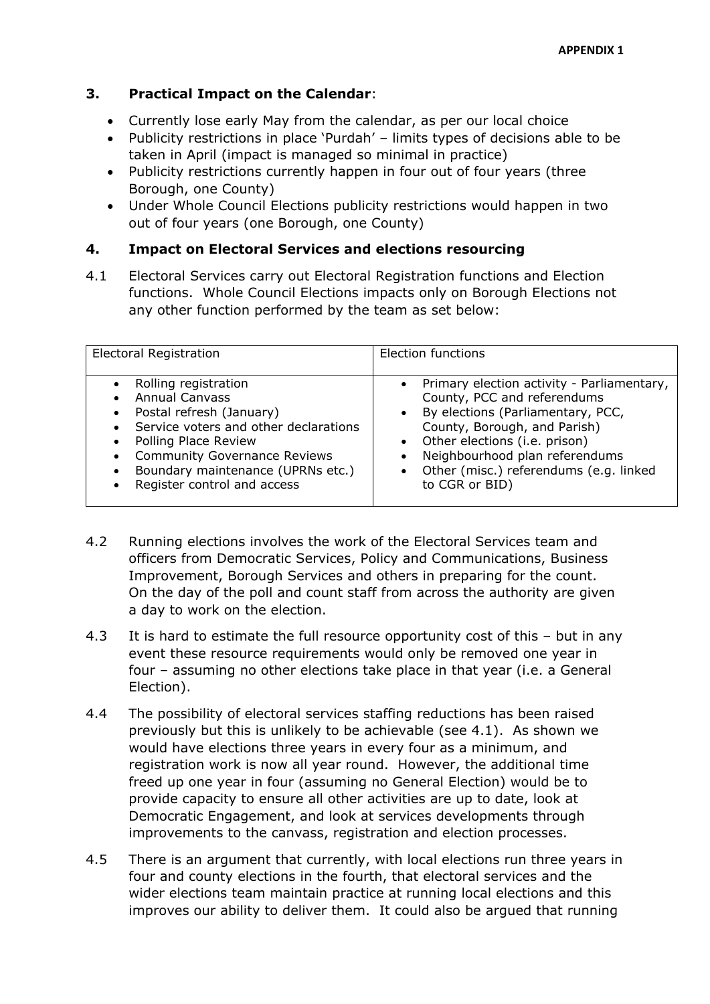# **3. Practical Impact on the Calendar**:

- Currently lose early May from the calendar, as per our local choice
- Publicity restrictions in place 'Purdah' limits types of decisions able to be taken in April (impact is managed so minimal in practice)
- Publicity restrictions currently happen in four out of four years (three Borough, one County)
- Under Whole Council Elections publicity restrictions would happen in two out of four years (one Borough, one County)

# **4. Impact on Electoral Services and elections resourcing**

4.1 Electoral Services carry out Electoral Registration functions and Election functions. Whole Council Elections impacts only on Borough Elections not any other function performed by the team as set below:

| Electoral Registration                                                                                                                                                                                                                                | Election functions                                                                                                                                                                                                                                                                                        |
|-------------------------------------------------------------------------------------------------------------------------------------------------------------------------------------------------------------------------------------------------------|-----------------------------------------------------------------------------------------------------------------------------------------------------------------------------------------------------------------------------------------------------------------------------------------------------------|
| Rolling registration<br><b>Annual Canvass</b><br>Postal refresh (January)<br>Service voters and other declarations<br>Polling Place Review<br><b>Community Governance Reviews</b><br>Boundary maintenance (UPRNs etc.)<br>Register control and access | Primary election activity - Parliamentary,<br>County, PCC and referendums<br>By elections (Parliamentary, PCC,<br>$\bullet$<br>County, Borough, and Parish)<br>• Other elections (i.e. prison)<br>Neighbourhood plan referendums<br>$\bullet$<br>Other (misc.) referendums (e.g. linked<br>to CGR or BID) |

- 4.2 Running elections involves the work of the Electoral Services team and officers from Democratic Services, Policy and Communications, Business Improvement, Borough Services and others in preparing for the count. On the day of the poll and count staff from across the authority are given a day to work on the election.
- 4.3 It is hard to estimate the full resource opportunity cost of this but in any event these resource requirements would only be removed one year in four – assuming no other elections take place in that year (i.e. a General Election).
- 4.4 The possibility of electoral services staffing reductions has been raised previously but this is unlikely to be achievable (see 4.1). As shown we would have elections three years in every four as a minimum, and registration work is now all year round. However, the additional time freed up one year in four (assuming no General Election) would be to provide capacity to ensure all other activities are up to date, look at Democratic Engagement, and look at services developments through improvements to the canvass, registration and election processes.
- 4.5 There is an argument that currently, with local elections run three years in four and county elections in the fourth, that electoral services and the wider elections team maintain practice at running local elections and this improves our ability to deliver them. It could also be argued that running